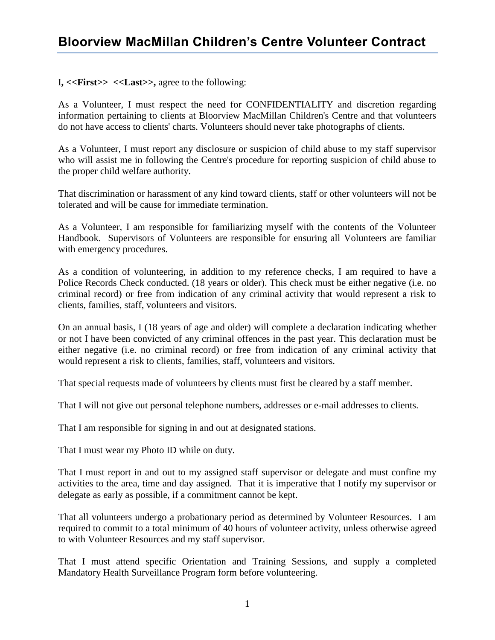## **Bloorview MacMillan Children's Centre Volunteer Contract**

I**, <<First>> <<Last>>,** agree to the following:

As a Volunteer, I must respect the need for CONFIDENTIALITY and discretion regarding information pertaining to clients at Bloorview MacMillan Children's Centre and that volunteers do not have access to clients' charts. Volunteers should never take photographs of clients.

As a Volunteer, I must report any disclosure or suspicion of child abuse to my staff supervisor who will assist me in following the Centre's procedure for reporting suspicion of child abuse to the proper child welfare authority.

That discrimination or harassment of any kind toward clients, staff or other volunteers will not be tolerated and will be cause for immediate termination.

As a Volunteer, I am responsible for familiarizing myself with the contents of the Volunteer Handbook. Supervisors of Volunteers are responsible for ensuring all Volunteers are familiar with emergency procedures.

As a condition of volunteering, in addition to my reference checks, I am required to have a Police Records Check conducted. (18 years or older). This check must be either negative (i.e. no criminal record) or free from indication of any criminal activity that would represent a risk to clients, families, staff, volunteers and visitors.

On an annual basis, I (18 years of age and older) will complete a declaration indicating whether or not I have been convicted of any criminal offences in the past year. This declaration must be either negative (i.e. no criminal record) or free from indication of any criminal activity that would represent a risk to clients, families, staff, volunteers and visitors.

That special requests made of volunteers by clients must first be cleared by a staff member.

That I will not give out personal telephone numbers, addresses or e-mail addresses to clients.

That I am responsible for signing in and out at designated stations.

That I must wear my Photo ID while on duty.

That I must report in and out to my assigned staff supervisor or delegate and must confine my activities to the area, time and day assigned. That it is imperative that I notify my supervisor or delegate as early as possible, if a commitment cannot be kept.

That all volunteers undergo a probationary period as determined by Volunteer Resources. I am required to commit to a total minimum of 40 hours of volunteer activity, unless otherwise agreed to with Volunteer Resources and my staff supervisor.

That I must attend specific Orientation and Training Sessions, and supply a completed Mandatory Health Surveillance Program form before volunteering.